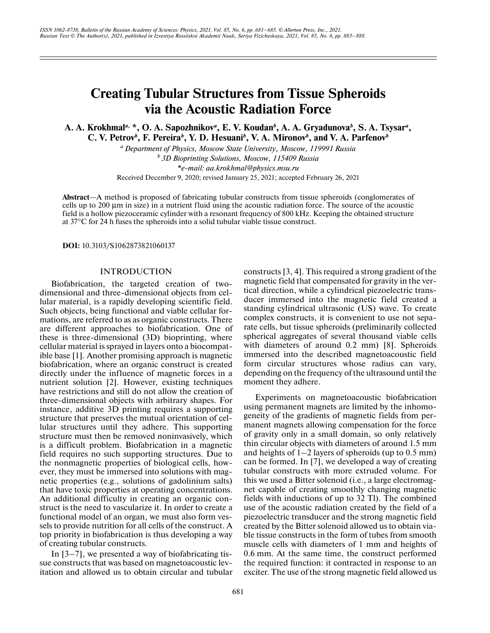# **Creating Tubular Structures from Tissue Spheroids via the Acoustic Radiation Force**

**A. A. Krokhmal***a***, \*, O. A. Sapozhnikov***a***, E. V. Koudan***<sup>b</sup>* **, A. A. Gryadunova***<sup>b</sup>* **, S. A. Tsysar***<sup>a</sup>* **, C. V. Petrov***<sup>b</sup>* **, F. Pereira***<sup>b</sup>* **, Y. D. Hesuani***<sup>b</sup>* **, V. A. Mironov***<sup>b</sup>* **, and V. A. Parfenov***<sup>b</sup>*

*a Department of Physics, Moscow State University, Moscow, 119991 Russia*

*b 3D Bioprinting Solutions, Moscow, 115409 Russia*

*\*e-mail: aa.krokhmal@physics.msu.ru*

Received December 9, 2020; revised January 25, 2021; accepted February 26, 2021

**Abstract**—A method is proposed of fabricating tubular constructs from tissue spheroids (conglomerates of cells up to 200 μm in size) in a nutrient fluid using the acoustic radiation force. The source of the acoustic field is a hollow piezoceramic cylinder with a resonant frequency of 800 kHz. Keeping the obtained structure at 37°C for 24 h fuses the spheroids into a solid tubular viable tissue construct.

**DOI:** 10.3103/S1062873821060137

## INTRODUCTION

Biofabrication, the targeted creation of twodimensional and three-dimensional objects from cellular material, is a rapidly developing scientific field. Such objects, being functional and viable cellular formations, are referred to as as organic constructs. There are different approaches to biofabrication. One of these is three-dimensional (3D) bioprinting, where cellular material is sprayed in layers onto a biocompatible base [1]. Another promising approach is magnetic biofabrication, where an organic construct is created directly under the influence of magnetic forces in a nutrient solution [2]. However, existing techniques have restrictions and still do not allow the creation of three-dimensional objects with arbitrary shapes. For instance, additive 3D printing requires a supporting structure that preserves the mutual orientation of cellular structures until they adhere. This supporting structure must then be removed noninvasively, which is a difficult problem. Biofabrication in a magnetic field requires no such supporting structures. Due to the nonmagnetic properties of biological cells, however, they must be immersed into solutions with magnetic properties (e.g., solutions of gadolinium salts) that have toxic properties at operating concentrations. An additional difficulty in creating an organic construct is the need to vascularize it. In order to create a functional model of an organ, we must also form vessels to provide nutrition for all cells of the construct. A top priority in biofabrication is thus developing a way of creating tubular constructs.

In [3–7], we presented a way of biofabricating tissue constructs that was based on magnetoacoustic levitation and allowed us to obtain circular and tubular constructs [3, 4]. This required a strong gradient of the magnetic field that compensated for gravity in the vertical direction, while a cylindrical piezoelectric transducer immersed into the magnetic field created a standing cylindrical ultrasonic (US) wave. To create complex constructs, it is convenient to use not separate cells, but tissue spheroids (preliminarily collected spherical aggregates of several thousand viable cells with diameters of around 0.2 mm) [8]. Spheroids immersed into the described magnetoacoustic field form circular structures whose radius can vary, depending on the frequency of the ultrasound until the moment they adhere.

Experiments on magnetoacoustic biofabrication using permanent magnets are limited by the inhomogeneity of the gradients of magnetic fields from permanent magnets allowing compensation for the force of gravity only in a small domain, so only relatively thin circular objects with diameters of around 1.5 mm and heights of  $1-2$  layers of spheroids (up to  $0.5$  mm) can be formed. In [7], we developed a way of creating tubular constructs with more extruded volume. For this we used a Bitter solenoid (i.e., a large electromagnet capable of creating smoothly changing magnetic fields with inductions of up to 32 Tl). The combined use of the acoustic radiation created by the field of a piezoelectric transducer and the strong magnetic field created by the Bitter solenoid allowed us to obtain viable tissue constructs in the form of tubes from smooth muscle cells with diameters of 1 mm and heights of 0.6 mm. At the same time, the construct performed the required function: it contracted in response to an exciter. The use of the strong magnetic field allowed us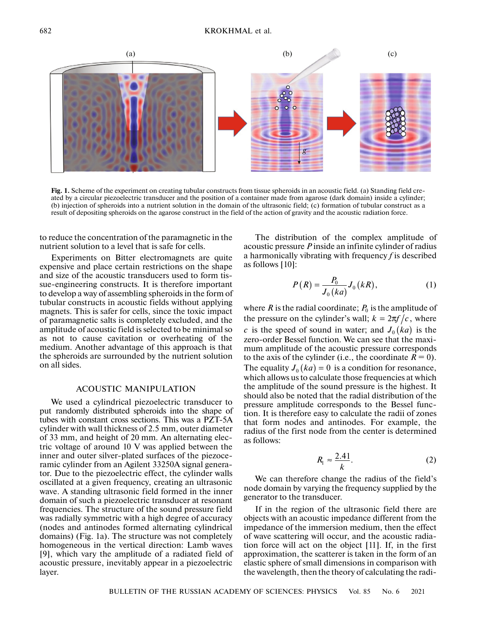

**Fig. 1.** Scheme of the experiment on creating tubular constructs from tissue spheroids in an acoustic field. (a) Standing field created by a circular piezoelectric transducer and the position of a container made from agarose (dark domain) inside a cylinder; (b) injection of spheroids into a nutrient solution in the domain of the ultrasonic field; (c) formation of tubular construct as a result of depositing spheroids on the agarose construct in the field of the action of gravity and the acoustic radiation force.

to reduce the concentration of the paramagnetic in the nutrient solution to a level that is safe for cells.

Experiments on Bitter electromagnets are quite expensive and place certain restrictions on the shape and size of the acoustic transducers used to form tissue-engineering constructs. It is therefore important to develop a way of assembling spheroids in the form of tubular constructs in acoustic fields without applying magnets. This is safer for cells, since the toxic impact of paramagnetic salts is completely excluded, and the amplitude of acoustic field is selected to be minimal so as not to cause cavitation or overheating of the medium. Another advantage of this approach is that the spheroids are surrounded by the nutrient solution on all sides.

### ACOUSTIC MANIPULATION

We used a cylindrical piezoelectric transducer to put randomly distributed spheroids into the shape of tubes with constant cross sections. This was a PZT-5A cylinder with wall thickness of 2.5 mm, outer diameter of 33 mm, and height of 20 mm. An alternating electric voltage of around 10 V was applied between the inner and outer silver-plated surfaces of the piezoceramic cylinder from an Agilent 33250A signal generator. Due to the piezoelectric effect, the cylinder walls oscillated at a given frequency, creating an ultrasonic wave. A standing ultrasonic field formed in the inner domain of such a piezoelectric transducer at resonant frequencies. The structure of the sound pressure field was radially symmetric with a high degree of accuracy (nodes and antinodes formed alternating cylindrical domains) (Fig. 1a). The structure was not completely homogeneous in the vertical direction: Lamb waves [9], which vary the amplitude of a radiated field of acoustic pressure, inevitably appear in a piezoelectric layer.

The distribution of the complex amplitude of acoustic pressure *P* inside an infinite cylinder of radius a harmonically vibrating with frequency *f* is described as follows [10]:

$$
P(R) = \frac{P_0}{J_0(ka)} J_0(kR),
$$
 (1)

where  $R$  is the radial coordinate;  $P_0$  is the amplitude of the pressure on the cylinder's wall;  $k = 2\pi f/c$ , where *c* is the speed of sound in water; and  $J_0(ka)$  is the zero-order Bessel function. We can see that the maximum amplitude of the acoustic pressure corresponds to the axis of the cylinder (i.e., the coordinate  $R = 0$ ). The equality  $J_0(ka) = 0$  is a condition for resonance, which allows us to calculate those frequencies at which the amplitude of the sound pressure is the highest. It should also be noted that the radial distribution of the pressure amplitude corresponds to the Bessel function. It is therefore easy to calculate the radii of zones that form nodes and antinodes. For example, the radius of the first node from the center is determined as follows:

$$
R_1 \approx \frac{2.41}{k}.\tag{2}
$$

We can therefore change the radius of the field's node domain by varying the frequency supplied by the generator to the transducer.

If in the region of the ultrasonic field there are objects with an acoustic impedance different from the impedance of the immersion medium, then the effect of wave scattering will occur, and the acoustic radiation force will act on the object [11]. If, in the first approximation, the scatterer is taken in the form of an elastic sphere of small dimensions in comparison with the wavelength, then the theory of calculating the radi-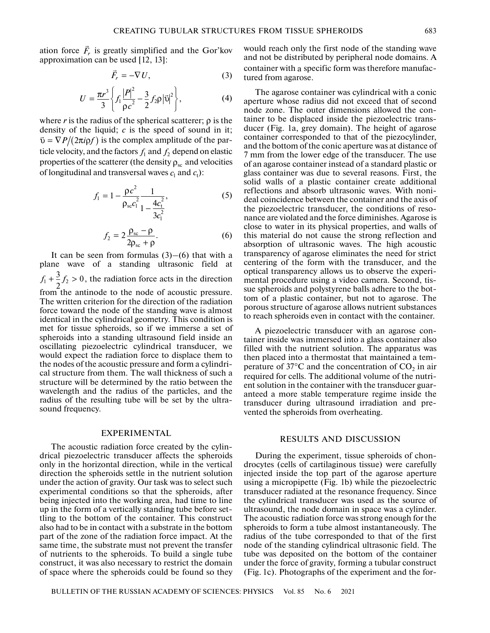ation force  $\vec{F}_r$  is greatly simplified and the Gor'kov approximation can be used [12, 13]:

$$
\vec{F}_r = -\nabla U,\tag{3}
$$

$$
U = \frac{\pi r^3}{3} \left\{ f_1 \frac{|P|^2}{\rho c^2} - \frac{3}{2} f_2 \rho |\vec{v}|^2 \right\},\tag{4}
$$

where  $r$  is the radius of the spherical scatterer;  $\rho$  is the density of the liquid; *c* is the speed of sound in it;  $\vec{v} = \nabla P / (2\pi i \rho f)$  is the complex amplitude of the particle velocity, and the factors  $f_1$  and  $f_2$  depend on elastic properties of the scatterer (the density  $\rho_{\rm sc}$  and velocities of longitudinal and transversal waves  $c_1$  and  $c_1$ ):

$$
f_1 = 1 - \frac{\rho c^2}{\rho_{\rm sc} c_1^2} \frac{1}{1 - \frac{4c_t^2}{3c_1^2}},
$$
 (5)

$$
f_2 = 2\frac{\rho_{\rm sc} - \rho}{2\rho_{\rm sc} + \rho}.\tag{6}
$$

It can be seen from formulas  $(3)$ – $(6)$  that with a plane wave of a standing ultrasonic field at  $f_1 + \frac{3}{2}f_2 > 0$ , the radiation force acts in the direction from the antinode to the node of acoustic pressure. The written criterion for the direction of the radiation force toward the node of the standing wave is almost identical in the cylindrical geometry. This condition is met for tissue spheroids, so if we immerse a set of spheroids into a standing ultrasound field inside an oscillating piezoelectric cylindrical transducer, we would expect the radiation force to displace them to the nodes of the acoustic pressure and form a cylindrical structure from them. The wall thickness of such a structure will be determined by the ratio between the wavelength and the radius of the particles, and the radius of the resulting tube will be set by the ultrasound frequency.

#### EXPERIMENTAL

The acoustic radiation force created by the cylindrical piezoelectric transducer affects the spheroids only in the horizontal direction, while in the vertical direction the spheroids settle in the nutrient solution under the action of gravity. Our task was to select such experimental conditions so that the spheroids, after being injected into the working area, had time to line up in the form of a vertically standing tube before settling to the bottom of the container. This construct also had to be in contact with a substrate in the bottom part of the zone of the radiation force impact. At the same time, the substrate must not prevent the transfer of nutrients to the spheroids. To build a single tube construct, it was also necessary to restrict the domain of space where the spheroids could be found so they

would reach only the first node of the standing wave and not be distributed by peripheral node domains. A container with a specific form was therefore manufactured from agarose.

The agarose container was cylindrical with a conic aperture whose radius did not exceed that of second node zone. The outer dimensions allowed the container to be displaced inside the piezoelectric transducer (Fig. 1a, grey domain). The height of agarose container corresponded to that of the piezocylinder, and the bottom of the conic aperture was at distance of 7 mm from the lower edge of the transducer. The use of an agarose container instead of a standard plastic or glass container was due to several reasons. First, the solid walls of a plastic container create additional reflections and absorb ultrasonic waves. With nonideal coincidence between the container and the axis of the piezoelectric transducer, the conditions of resonance are violated and the force diminishes. Agarose is close to water in its physical properties, and walls of this material do not cause the strong reflection and absorption of ultrasonic waves. The high acoustic transparency of agarose eliminates the need for strict centering of the form with the transducer, and the optical transparency allows us to observe the experimental procedure using a video camera. Second, tissue spheroids and polystyrene balls adhere to the bottom of a plastic container, but not to agarose. The porous structure of agarose allows nutrient substances to reach spheroids even in contact with the container.

A piezoelectric transducer with an agarose container inside was immersed into a glass container also filled with the nutrient solution. The apparatus was then placed into a thermostat that maintained a temperature of  $37^{\circ}$ C and the concentration of CO<sub>2</sub> in air required for cells. The additional volume of the nutrient solution in the container with the transducer guaranteed a more stable temperature regime inside the transducer during ultrasound irradiation and prevented the spheroids from overheating.

### RESULTS AND DISCUSSION

During the experiment, tissue spheroids of chondrocytes (cells of cartilaginous tissue) were carefully injected inside the top part of the agarose aperture using a micropipette (Fig. 1b) while the piezoelectric transducer radiated at the resonance frequency. Since the cylindrical transducer was used as the source of ultrasound, the node domain in space was a cylinder. The acoustic radiation force was strong enough for the spheroids to form a tube almost instantaneously. The radius of the tube corresponded to that of the first node of the standing cylindrical ultrasonic field. The tube was deposited on the bottom of the container under the force of gravity, forming a tubular construct (Fig. 1c). Photographs of the experiment and the for-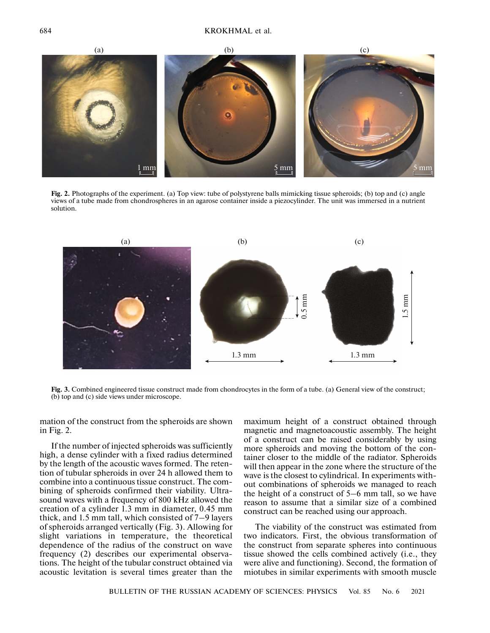

**Fig. 2.** Photographs of the experiment. (a) Top view: tube of polystyrene balls mimicking tissue spheroids; (b) top and (c) angle views of a tube made from chondrospheres in an agarose container inside a piezocylinder. The unit was immersed in a nutrient solution.



**Fig. 3.** Combined engineered tissue construct made from chondrocytes in the form of a tube. (a) General view of the construct; (b) top and (c) side views under microscope.

mation of the construct from the spheroids are shown in Fig. 2.

If the number of injected spheroids was sufficiently high, a dense cylinder with a fixed radius determined by the length of the acoustic waves formed. The retention of tubular spheroids in over 24 h allowed them to combine into a continuous tissue construct. The combining of spheroids confirmed their viability. Ultrasound waves with a frequency of 800 kHz allowed the creation of a cylinder 1.3 mm in diameter, 0.45 mm thick, and 1.5 mm tall, which consisted of 7–9 layers of spheroids arranged vertically (Fig. 3). Allowing for slight variations in temperature, the theoretical dependence of the radius of the construct on wave frequency (2) describes our experimental observations. The height of the tubular construct obtained via acoustic levitation is several times greater than the maximum height of a construct obtained through magnetic and magnetoacoustic assembly. The height of a construct can be raised considerably by using more spheroids and moving the bottom of the container closer to the middle of the radiator. Spheroids will then appear in the zone where the structure of the wave is the closest to cylindrical. In experiments without combinations of spheroids we managed to reach the height of a construct of 5–6 mm tall, so we have reason to assume that a similar size of a combined construct can be reached using our approach.

The viability of the construct was estimated from two indicators. First, the obvious transformation of the construct from separate spheres into continuous tissue showed the cells combined actively (i.e., they were alive and functioning). Second, the formation of miotubes in similar experiments with smooth muscle